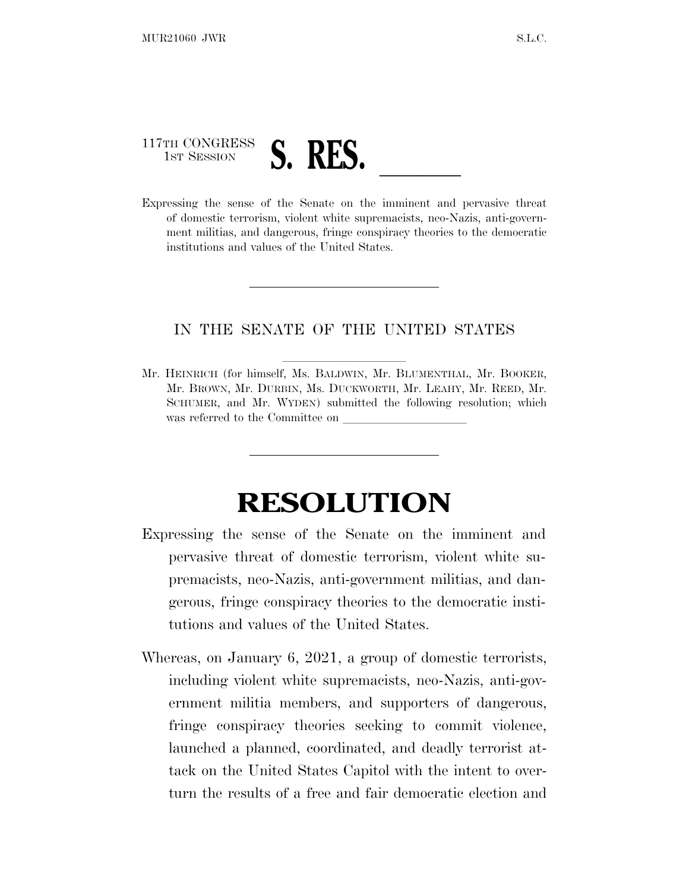## 117TH CONGRESS 117TH CONGRESS S. RES. <u>J. M. S. Reserves threat</u>

of domestic terrorism, violent white supremacists, neo-Nazis, anti-government militias, and dangerous, fringe conspiracy theories to the democratic institutions and values of the United States.

## IN THE SENATE OF THE UNITED STATES

Mr. HEINRICH (for himself, Ms. BALDWIN, Mr. BLUMENTHAL, Mr. BOOKER, Mr. BROWN, Mr. DURBIN, Ms. DUCKWORTH, Mr. LEAHY, Mr. REED, Mr. SCHUMER, and Mr. WYDEN) submitted the following resolution; which was referred to the Committee on

## **RESOLUTION**

- Expressing the sense of the Senate on the imminent and pervasive threat of domestic terrorism, violent white supremacists, neo-Nazis, anti-government militias, and dangerous, fringe conspiracy theories to the democratic institutions and values of the United States.
- Whereas, on January 6, 2021, a group of domestic terrorists, including violent white supremacists, neo-Nazis, anti-government militia members, and supporters of dangerous, fringe conspiracy theories seeking to commit violence, launched a planned, coordinated, and deadly terrorist attack on the United States Capitol with the intent to overturn the results of a free and fair democratic election and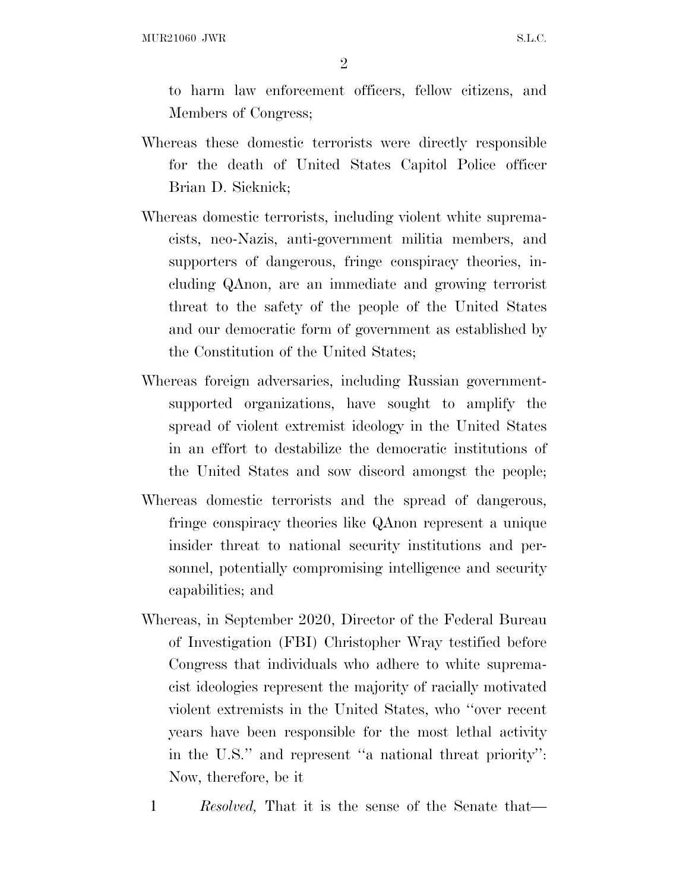2

to harm law enforcement officers, fellow citizens, and Members of Congress;

- Whereas these domestic terrorists were directly responsible for the death of United States Capitol Police officer Brian D. Sicknick;
- Whereas domestic terrorists, including violent white supremacists, neo-Nazis, anti-government militia members, and supporters of dangerous, fringe conspiracy theories, including QAnon, are an immediate and growing terrorist threat to the safety of the people of the United States and our democratic form of government as established by the Constitution of the United States;
- Whereas foreign adversaries, including Russian governmentsupported organizations, have sought to amplify the spread of violent extremist ideology in the United States in an effort to destabilize the democratic institutions of the United States and sow discord amongst the people;
- Whereas domestic terrorists and the spread of dangerous, fringe conspiracy theories like QAnon represent a unique insider threat to national security institutions and personnel, potentially compromising intelligence and security capabilities; and
- Whereas, in September 2020, Director of the Federal Bureau of Investigation (FBI) Christopher Wray testified before Congress that individuals who adhere to white supremacist ideologies represent the majority of racially motivated violent extremists in the United States, who ''over recent years have been responsible for the most lethal activity in the U.S.'' and represent ''a national threat priority'': Now, therefore, be it
	- 1 *Resolved,* That it is the sense of the Senate that—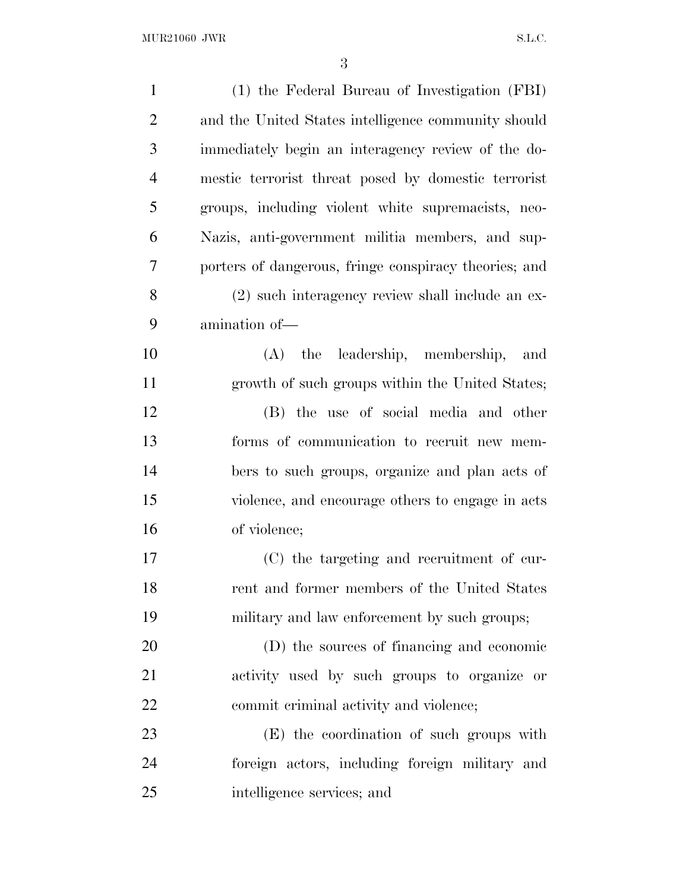| $\mathbf{1}$   | (1) the Federal Bureau of Investigation (FBI)         |
|----------------|-------------------------------------------------------|
| $\overline{2}$ | and the United States intelligence community should   |
| 3              | immediately begin an interagency review of the do-    |
| $\overline{4}$ | mestic terrorist threat posed by domestic terrorist   |
| 5              | groups, including violent white supremacists, neo-    |
| 6              | Nazis, anti-government militia members, and sup-      |
| $\overline{7}$ | porters of dangerous, fringe conspiracy theories; and |
| 8              | (2) such interagency review shall include an ex-      |
| 9              | amination of-                                         |
| 10             | (A) the leadership, membership,<br>and                |
| 11             | growth of such groups within the United States;       |
| 12             | (B) the use of social media and other                 |
| 13             | forms of communication to recruit new mem-            |
| 14             | bers to such groups, organize and plan acts of        |
| 15             | violence, and encourage others to engage in acts      |
| 16             | of violence;                                          |
| 17             | (C) the targeting and recruitment of cur-             |
| 18             | rent and former members of the United States          |
| 19             | military and law enforcement by such groups;          |
| 20             | (D) the sources of financing and economic             |
| 21             | activity used by such groups to organize or           |
| 22             | commit criminal activity and violence;                |
| 23             | (E) the coordination of such groups with              |
| 24             | foreign actors, including foreign military and        |
| 25             | intelligence services; and                            |